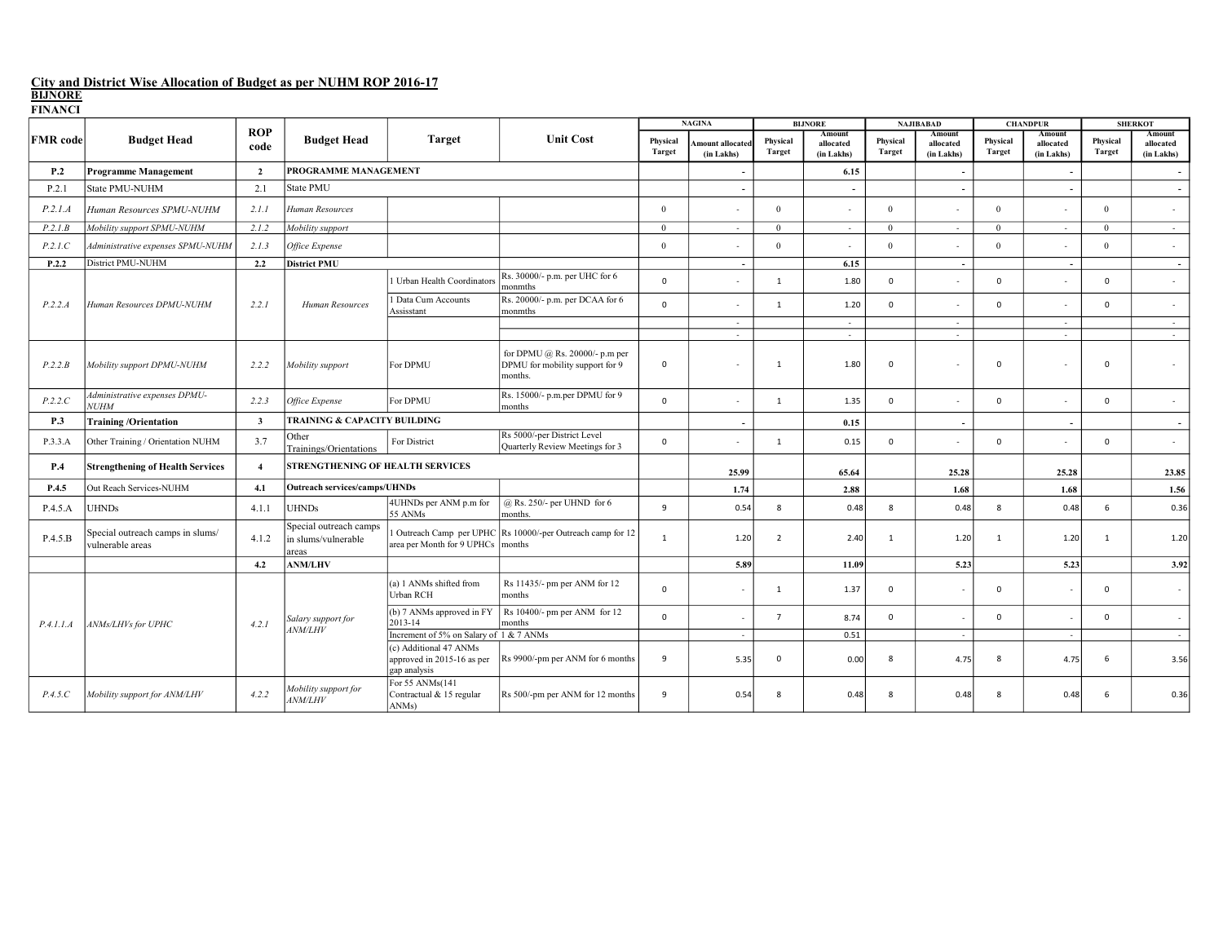| гиммен          |                                                      |                         |                                                        |                                                                      |                                                                              |                           | <b>NAGINA</b>                |                           | <b>BLJNORE</b>                    | <b>NAJIBABAD</b>          |                                   | <b>CHANDPUR</b>           |                                   | <b>SHERKOT</b>            |                                   |
|-----------------|------------------------------------------------------|-------------------------|--------------------------------------------------------|----------------------------------------------------------------------|------------------------------------------------------------------------------|---------------------------|------------------------------|---------------------------|-----------------------------------|---------------------------|-----------------------------------|---------------------------|-----------------------------------|---------------------------|-----------------------------------|
| <b>FMR</b> code | <b>Budget Head</b>                                   | <b>ROP</b><br>code      | <b>Budget Head</b>                                     | Target                                                               | <b>Unit Cost</b>                                                             | Physical<br><b>Target</b> | mount allocate<br>(in Lakhs) | Physical<br><b>Target</b> | Amount<br>allocated<br>(in Lakhs) | Physical<br><b>Target</b> | Amount<br>allocated<br>(in Lakhs) | Physical<br><b>Target</b> | Amount<br>allocated<br>(in Lakhs) | Physical<br><b>Target</b> | Amount<br>allocated<br>(in Lakhs) |
| P.2             | <b>Programme Management</b>                          | $\overline{2}$          | PROGRAMME MANAGEMENT                                   |                                                                      |                                                                              |                           |                              |                           | 6.15                              |                           | $\blacksquare$                    |                           |                                   |                           | $\overline{\phantom{a}}$          |
| P.2.1           | State PMU-NUHM                                       | 2.1                     | State PMU                                              |                                                                      |                                                                              |                           |                              |                           |                                   |                           | $\sim$                            |                           |                                   |                           | $\overline{\phantom{a}}$          |
| P.2.1.A         | Human Resources SPMU-NUHM                            | 2.1.1                   | Human Resources                                        |                                                                      |                                                                              | $\Omega$                  |                              | $\Omega$                  |                                   | $\mathbf{0}$              |                                   | $\theta$                  |                                   | $\mathbf{0}$              | A.                                |
| P.2.1.B         | Mobility support SPMU-NUHM                           | 2.1.2                   | Mobility support                                       |                                                                      |                                                                              | $\mathbf{0}$              | $\sim$                       | $\overline{0}$            | $\sim$                            | $\mathbf{0}$              | $\sim$                            | $\mathbf{0}$              | $\sim$                            | $\mathbf{0}$              | $\sim$                            |
| P.2.1.C         | Administrative expenses SPMU-NUHM                    | 2.1.3                   | Office Expense                                         |                                                                      |                                                                              | $\Omega$                  | $\sim$                       | $\Omega$                  |                                   | $\Omega$                  | $\sim$                            | $\Omega$                  | $\sim$                            | $\Omega$                  | $\sim$                            |
| P.2.2           | District PMU-NUHM                                    | 2.2                     | <b>District PMU</b>                                    |                                                                      |                                                                              |                           | $\overline{\phantom{a}}$     |                           | 6.15                              |                           | $\overline{\phantom{a}}$          |                           | $\overline{\phantom{a}}$          |                           | $\overline{\phantom{a}}$          |
|                 |                                                      |                         |                                                        | Urban Health Coordinators                                            | Rs. 30000/- p.m. per UHC for 6<br>monmths                                    | $\mathbf{0}$              |                              | 1                         | 1.80                              | $\Omega$                  | $\sim$                            | $\mathbf 0$               |                                   | $\mathbf 0$               | $\sim$                            |
| P.2.2.A         | Human Resources DPMU-NUHM                            | 2.2.1                   | Human Resources                                        | 1 Data Cum Accounts<br>Assisstant                                    | Rs. 20000/- p.m. per DCAA for 6<br>monmths                                   | $\mathbf{0}$              |                              | 1                         | 1.20                              | $\Omega$                  |                                   | $\mathbf 0$               |                                   | $\Omega$                  | $\sim$                            |
|                 |                                                      |                         |                                                        |                                                                      |                                                                              |                           | $\sim$                       |                           | $\sim$                            |                           | $\sim$                            |                           | $\sim$                            |                           | $\sim$                            |
|                 |                                                      |                         |                                                        |                                                                      |                                                                              |                           | $\sim$                       |                           | $\epsilon$                        |                           | $\sim$                            |                           | $\sim$                            |                           | $\sim$                            |
| P.2.2.B         | Mobility support DPMU-NUHM                           | 2.2.2                   | Mobility support                                       | For DPMU                                                             | for DPMU @ Rs. 20000/- p.m per<br>DPMU for mobility support for 9<br>months. | $\mathbf 0$               |                              | 1                         | 1.80                              | $\mathbf 0$               |                                   | $\mathbf 0$               |                                   | $\Omega$                  | $\sim$                            |
| P.2.2.C         | Administrative expenses DPMU-<br><b>NUHM</b>         | 2.2.3                   | Office Expense                                         | For DPMU                                                             | Rs. 15000/- p.m.per DPMU for 9<br>months                                     | $\mathbf{0}$              |                              | 1                         | 1.35                              | $\mathbf 0$               |                                   | $\mathbf 0$               |                                   | $\mathbf 0$               | $\sim$                            |
| P.3             | <b>Training/Orientation</b>                          | $\overline{\mathbf{3}}$ | <b>TRAINING &amp; CAPACITY BUILDING</b>                |                                                                      |                                                                              |                           |                              |                           | 0.15                              |                           | $\overline{a}$                    |                           |                                   |                           |                                   |
| P.3.3.A         | Other Training / Orientation NUHM                    | 3.7                     | Other<br>Trainings/Orientations                        | For District                                                         | Rs 5000/-per District Level<br>Quarterly Review Meetings for 3               | $\mathbf{0}$              |                              | 1                         | 0.15                              | $\Omega$                  | $\sim$                            | $\mathbf 0$               |                                   | $\mathbf 0$               | $\sim$                            |
| P.4             | <b>Strengthening of Health Services</b>              | $\overline{4}$          | STRENGTHENING OF HEALTH SERVICES                       |                                                                      |                                                                              |                           | 25.99                        |                           | 65.64                             |                           | 25.28                             |                           | 25.28                             |                           | 23.85                             |
| P.4.5           | Out Reach Services-NUHM                              | 4.1                     | <b>Outreach services/camps/UHNDs</b>                   |                                                                      |                                                                              |                           | 1.74                         |                           | 2.88                              |                           | 1.68                              |                           | 1.68                              |                           | 1.56                              |
| P.4.5.A         | <b>UHNDs</b>                                         | 4.1.1                   | <b>UHNDs</b>                                           | 4UHNDs per ANM p.m for<br>55 ANMs                                    | @ Rs. 250/- per UHND for 6<br>months.                                        | 9                         | 0.54                         | 8                         | 0.48                              | 8                         | 0.48                              | 8                         | 0.48                              | 6                         | 0.36                              |
| P.4.5.B         | Special outreach camps in slums/<br>vulnerable areas | 4.1.2                   | Special outreach camps<br>in slums/vulnerable<br>areas | 1 Outreach Camp per UPHC<br>area per Month for 9 UPHCs               | Rs 10000/-per Outreach camp for 12<br>months                                 | $\mathbf{1}$              | 1.20                         | 2                         | 2.40                              | $\mathbf{1}$              | 1.20                              | $\mathbf{1}$              | 1.20                              | $\overline{1}$            | 1.20                              |
|                 |                                                      | 4.2                     | <b>ANM/LHV</b>                                         |                                                                      |                                                                              |                           | 5.89                         |                           | 11.09                             |                           | 5.23                              |                           | 5.23                              |                           | 3.92                              |
|                 |                                                      |                         |                                                        | (a) 1 ANMs shifted from<br>Urban RCH                                 | Rs 11435/- pm per ANM for 12<br>months                                       | $\mathbf{0}$              |                              | 1                         | 1.37                              | $\mathbf 0$               | $\sim$                            | $\mathbf{0}$              |                                   | $\mathbf{0}$              | $\sim$                            |
| P.4.1.1.A       | ANMs/LHVs for UPHC                                   | 4.2.1                   | Salary support for<br><b>ANM/LHV</b>                   | (b) 7 ANMs approved in FY<br>2013-14                                 | Rs 10400/- pm per ANM for 12<br>months                                       | $\mathbf{0}$              |                              | $\overline{7}$            | 8.74                              | $\mathbf 0$               | $\sim$                            | $\mathbf{0}$              |                                   | $\mathbf{0}$              | $\sim$                            |
|                 |                                                      |                         |                                                        | Increment of 5% on Salary of 1 & 7 ANMs                              |                                                                              |                           | $\sim$                       |                           | 0.51                              |                           | $\sim$                            |                           |                                   |                           | $\sim$                            |
|                 |                                                      |                         |                                                        | (c) Additional 47 ANMs<br>approved in 2015-16 as per<br>gap analysis | Rs 9900/-pm per ANM for 6 months                                             | 9                         | 5.35                         | $\mathbf 0$               | 0.00                              | 8                         | 4.75                              | 8                         | 4.75                              | 6                         | 3.56                              |
| P.4.5.C         | Mobility support for ANM/LHV                         | 4.2.2                   | Mobility support for<br><b>ANM/LHV</b>                 | For 55 ANMs(141<br>Contractual & 15 regular<br>ANMs)                 | Rs 500/-pm per ANM for 12 months                                             | 9                         | 0.54                         | 8                         | 0.48                              | 8                         | 0.48                              | 8                         | 0.48                              | 6                         | 0.36                              |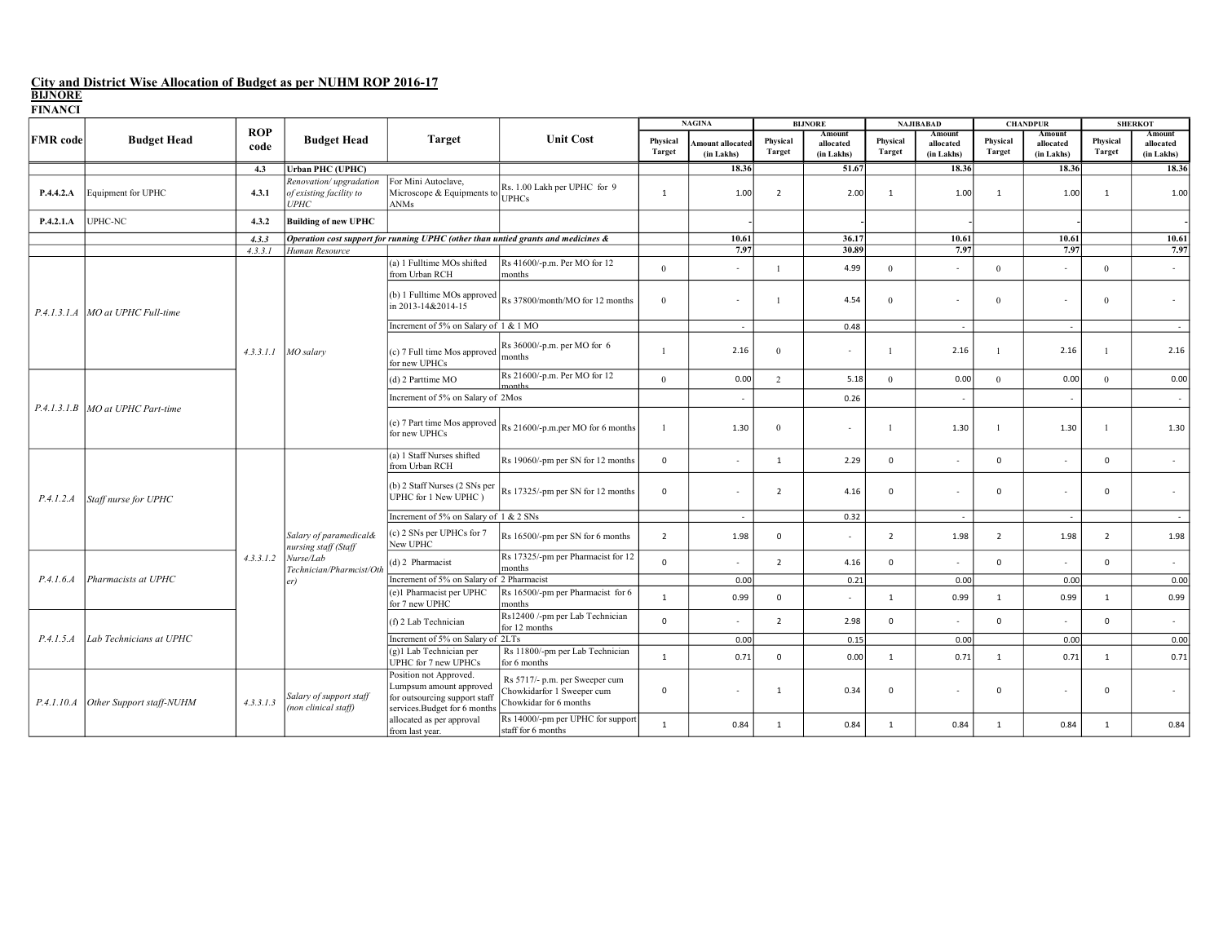| LITATICI        |                                     |                    | <b>Budget Head</b>                                                                             |                                                                                                                    |                                                                                        |                           | <b>NAGINA</b>                  |                           | <b>BIJNORE</b>                    | <b>NAJIBABAD</b>          |                                   | <b>CHANDPUR</b>           |                                   | <b>SHERKOT</b>     |                                   |
|-----------------|-------------------------------------|--------------------|------------------------------------------------------------------------------------------------|--------------------------------------------------------------------------------------------------------------------|----------------------------------------------------------------------------------------|---------------------------|--------------------------------|---------------------------|-----------------------------------|---------------------------|-----------------------------------|---------------------------|-----------------------------------|--------------------|-----------------------------------|
| <b>FMR</b> code | <b>Budget Head</b>                  | <b>ROP</b><br>code |                                                                                                | <b>Target</b>                                                                                                      | <b>Unit Cost</b>                                                                       | Physical<br><b>Target</b> | Amount allocated<br>(in Lakhs) | Physical<br><b>Target</b> | Amount<br>allocated<br>(in Lakhs) | Physical<br><b>Target</b> | Amount<br>allocated<br>(in Lakhs) | Physical<br><b>Target</b> | Amount<br>allocated<br>(in Lakhs) | Physical<br>Target | Amount<br>allocated<br>(in Lakhs) |
|                 |                                     | 4.3                | <b>Urban PHC (UPHC)</b>                                                                        |                                                                                                                    |                                                                                        |                           | 18.36                          |                           | 51.67                             |                           | 18.36                             |                           | 18.36                             |                    | 18.36                             |
| P.4.4.2.A       | Equipment for UPHC                  | 4.3.1              | Renovation/upgradation<br>of existing facility to<br><b>UPHC</b>                               | For Mini Autoclave,<br>Microscope & Equipments to<br>ANMs                                                          | Rs. 1.00 Lakh per UPHC for 9<br><b>UPHCs</b>                                           | 1                         | 1.00                           | $\overline{2}$            | 2.00                              | 1                         | 1.00                              | 1                         | 1.00                              | 1                  | 1.00                              |
| P.4.2.1.A       | UPHC-NC                             | 4.3.2              | <b>Building of new UPHC</b>                                                                    |                                                                                                                    |                                                                                        |                           |                                |                           |                                   |                           |                                   |                           |                                   |                    |                                   |
|                 |                                     | 4.3.3              |                                                                                                | Operation cost support for running UPHC (other than untied grants and medicines &                                  |                                                                                        |                           | 10.61                          |                           | 36.17                             |                           | 10.61                             |                           | 10.61                             |                    | 10.61                             |
|                 |                                     | 4.3.3.1            | Human Resource                                                                                 |                                                                                                                    |                                                                                        |                           | 7.97                           |                           | 30.89                             |                           | 7.97                              |                           | 7.97                              |                    | 7.97                              |
|                 |                                     |                    |                                                                                                | (a) 1 Fulltime MOs shifted<br>from Urban RCH                                                                       | Rs 41600/-p.m. Per MO for 12<br>months                                                 | $\mathbf{0}$              | ٠                              | $\overline{1}$            | 4.99                              | $\overline{0}$            |                                   | $\mathbf{0}$              | $\sim$                            | $\overline{0}$     | $\sim$                            |
|                 | P.4.1.3.1.A   MO at UPHC Full-time  |                    |                                                                                                | (b) 1 Fulltime MOs approved<br>in 2013-14&2014-15                                                                  | Rs 37800/month/MO for 12 months                                                        | $\theta$                  |                                |                           | 4.54                              | $\theta$                  |                                   | $\theta$                  |                                   | $\overline{0}$     |                                   |
|                 |                                     |                    |                                                                                                | Increment of 5% on Salary of 1 & 1 MO                                                                              |                                                                                        |                           | $\sim$                         |                           | 0.48                              |                           | $\sim$                            |                           | $\sim$                            |                    | $\sim$                            |
|                 |                                     |                    | $4.3.3.1.1$ MO salary                                                                          | (c) 7 Full time Mos approved<br>for new UPHCs                                                                      | Rs 36000/-p.m. per MO for 6<br>months                                                  |                           | 2.16                           | $\theta$                  |                                   | -1                        | 2.16                              |                           | 2.16                              |                    | 2.16                              |
|                 |                                     |                    |                                                                                                | (d) 2 Parttime MO                                                                                                  | Rs 21600/-p.m. Per MO for 12                                                           | $\Omega$                  | 0.00                           | 2                         | 5.18                              | $\Omega$                  | 0.00                              | $\Omega$                  | 0.00                              | $\theta$           | 0.00                              |
|                 | P.4.1.3.1.B   MO at UPHC Part-time  |                    |                                                                                                | Increment of 5% on Salary of 2Mos                                                                                  |                                                                                        |                           | $\overline{\phantom{a}}$       |                           | 0.26                              |                           |                                   |                           |                                   |                    | $\sim$                            |
|                 |                                     |                    |                                                                                                | (e) 7 Part time Mos approved<br>for new UPHCs                                                                      | Rs 21600/-p.m.per MO for 6 months                                                      |                           | 1.30                           | $\Omega$                  | $\sim$                            |                           | 1.30                              |                           | 1.30                              |                    | 1.30                              |
|                 | Staff nurse for UPHC                |                    | Salary of paramedical&<br>nursing staff (Staff<br>Nurse/Lab<br>Technician/Pharmcist/Otl<br>er) | (a) 1 Staff Nurses shifted<br>from Urban RCH                                                                       | Rs 19060/-pm per SN for 12 months                                                      | $\mathbf 0$               | ٠                              | $\mathbf{1}$              | 2.29                              | $\mathbf 0$               |                                   | $\mathbf{0}$              | $\sim$                            | $\mathbf 0$        | $\sim$                            |
| P.4.1.2.A       |                                     |                    |                                                                                                | (b) 2 Staff Nurses (2 SNs per<br>UPHC for 1 New UPHC)                                                              | Rs 17325/-pm per SN for 12 months                                                      | $\mathbf{0}$              |                                | $\overline{2}$            | 4.16                              | 0                         |                                   | $\Omega$                  |                                   | $\mathbf 0$        |                                   |
|                 |                                     |                    |                                                                                                | Increment of 5% on Salary of 1 & 2 SNs                                                                             |                                                                                        |                           | $\sim$                         |                           | 0.32                              |                           | $\sim$                            |                           |                                   |                    | $\sim$                            |
|                 |                                     |                    |                                                                                                | (c) 2 SNs per UPHCs for 7<br>New UPHC                                                                              | Rs 16500/-pm per SN for 6 months                                                       | $\overline{2}$            | 1.98                           | $\mathbf 0$               | $\overline{\phantom{a}}$          | $\overline{2}$            | 1.98                              | $\overline{2}$            | 1.98                              | $\overline{2}$     | 1.98                              |
|                 |                                     | 4.3.3.1.2          |                                                                                                | (d) 2 Pharmacist                                                                                                   | Rs 17325/-pm per Pharmacist for 12<br>months                                           | $\mathbf{0}$              |                                | $\overline{2}$            | 4.16                              | $\Omega$                  |                                   | $\Omega$                  |                                   | $\Omega$           |                                   |
| P.4.1.6.4       | Pharmacists at UPHC                 |                    |                                                                                                | Increment of 5% on Salary of 2 Pharmacist                                                                          |                                                                                        |                           | 0.00                           |                           | 0.21                              |                           | 0.00                              |                           | 0.00                              |                    | 0.00                              |
|                 |                                     |                    |                                                                                                | (e)1 Pharmacist per UPHC<br>for 7 new UPHC                                                                         | Rs 16500/-pm per Pharmacist for 6<br>months                                            | $\mathbf{1}$              | 0.99                           | $\Omega$                  | ×.                                | $\mathbf{1}$              | 0.99                              | $\mathbf{1}$              | 0.99                              | $\overline{1}$     | 0.99                              |
|                 |                                     |                    |                                                                                                | (f) 2 Lab Technician                                                                                               | Rs12400 /-pm per Lab Technician<br>for 12 months                                       | $\mathbf{0}$              |                                | $\overline{2}$            | 2.98                              | $\mathbf 0$               |                                   | $\mathbf{0}$              |                                   | $\mathbf 0$        | $\sim$                            |
| P.4.1.5.A       | Lab Technicians at UPHC             |                    |                                                                                                | Increment of 5% on Salary of 2LTs                                                                                  |                                                                                        |                           | 0.00                           |                           | 0.15                              |                           | 0.00                              |                           | 0.00                              |                    | 0.00                              |
|                 |                                     |                    |                                                                                                | (g)1 Lab Technician per<br>UPHC for 7 new UPHCs                                                                    | Rs 11800/-pm per Lab Technician<br>for 6 months                                        | $\mathbf{1}$              | 0.71                           | $\mathbf 0$               | 0.00                              | $\mathbf{1}$              | 0.71                              | <sup>1</sup>              | 0.71                              | 1                  | 0.71                              |
|                 | P.4.1.10.A Other Support staff-NUHM | 4.3.3.1.3          | Salary of support staff<br>(non clinical staff)                                                | Position not Approved.<br>Lumpsum amount approved<br>for outsourcing support staff<br>services.Budget for 6 months | Rs 5717/- p.m. per Sweeper cum<br>Chowkidarfor 1 Sweeper cum<br>Chowkidar for 6 months | $\mathbf 0$               |                                | $\overline{1}$            | 0.34                              | 0                         |                                   | $\mathbf 0$               |                                   | $\mathbf 0$        | $\sim$                            |
|                 |                                     |                    |                                                                                                | allocated as per approval<br>from last year.                                                                       | Rs 14000/-pm per UPHC for support<br>staff for 6 months                                | $\mathbf{1}$              | 0.84                           | $\mathbf{1}$              | 0.84                              | $\mathbf{1}$              | 0.84                              | 1                         | 0.84                              | $\mathbf{1}$       | 0.84                              |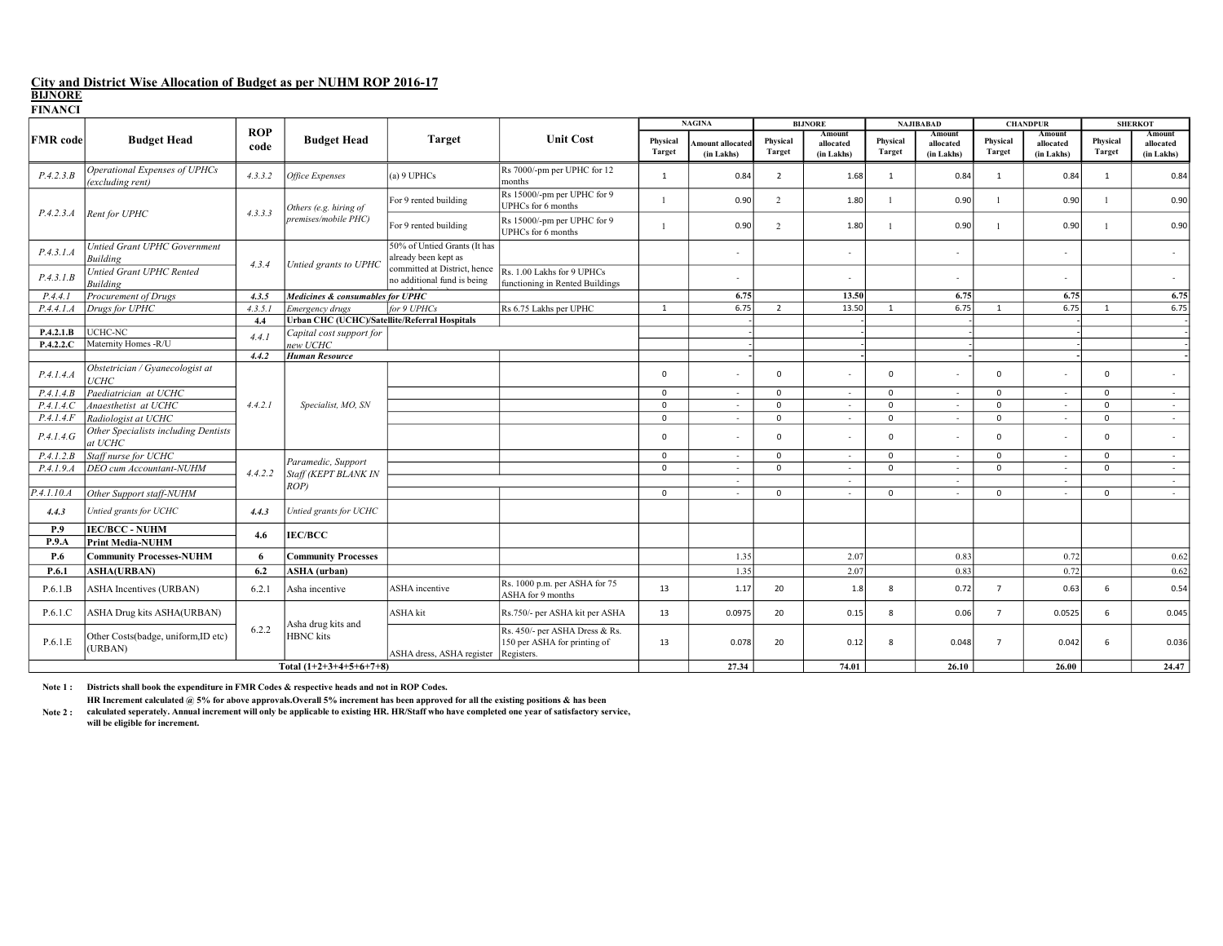**FINANCI** 

| FINANCI         |                                                   |                    |                                               |                                                             |                                                                              |                           | <b>NAGINA</b>                 |                           | <b>BIJNORE</b>                    | <b>NAJIBABAD</b>          |                                   | <b>CHANDPUR</b>           |                                   | <b>SHERKOT</b>     |                                   |
|-----------------|---------------------------------------------------|--------------------|-----------------------------------------------|-------------------------------------------------------------|------------------------------------------------------------------------------|---------------------------|-------------------------------|---------------------------|-----------------------------------|---------------------------|-----------------------------------|---------------------------|-----------------------------------|--------------------|-----------------------------------|
| <b>FMR</b> code | <b>Budget Head</b>                                | <b>ROP</b><br>code | <b>Budget Head</b>                            | <b>Target</b>                                               | <b>Unit Cost</b>                                                             | Physical<br><b>Target</b> | mount allocated<br>(in Lakhs) | Physical<br><b>Target</b> | Amount<br>allocated<br>(in Lakhs) | Physical<br><b>Target</b> | Amount<br>allocated<br>(in Lakhs) | Physical<br><b>Target</b> | Amount<br>allocated<br>(in Lakhs) | Physical<br>Target | Amount<br>allocated<br>(in Lakhs) |
| P.4.2.3.B       | Operational Expenses of UPHCs<br>(excluding rent) | 4.3.3.2            | Office Expenses                               | $(a)$ 9 UPHCs                                               | Rs 7000/-pm per UPHC for 12<br>months                                        | $\mathbf{1}$              | 0.84                          | $\overline{2}$            | 1.68                              | 1                         | 0.84                              | 1                         | 0.84                              | $\mathbf{1}$       | 0.84                              |
|                 |                                                   | 4.3.3.3            | Others (e.g. hiring of                        | For 9 rented building                                       | Rs 15000/-pm per UPHC for 9<br>UPHCs for 6 months                            |                           | 0.90                          | $\overline{2}$            | 1.80                              |                           | 0.90                              |                           | 0.90                              |                    | 0.90                              |
| P.4.2.3.A       | Rent for UPHC                                     |                    | premises/mobile PHC)                          | For 9 rented building                                       | Rs 15000/-pm per UPHC for 9<br>UPHCs for 6 months                            |                           | 0.90                          | 2                         | 1.80                              |                           | 0.90                              |                           | 0.90                              |                    | 0.90                              |
| P.4.3.1.A       | <b>Untied Grant UPHC Government</b><br>Building   |                    |                                               | 50% of Untied Grants (It has<br>already been kept as        |                                                                              |                           |                               |                           | $\sim$                            |                           |                                   |                           |                                   |                    | $\sim$                            |
| P.4.3.1.B       | <b>Untied Grant UPHC Rented</b><br>Building       | 4.3.4              | Untied grants to UPHC                         | committed at District, hence<br>no additional fund is being | Rs. 1.00 Lakhs for 9 UPHCs<br>functioning in Rented Buildings                |                           |                               |                           | ×.                                |                           |                                   |                           |                                   |                    | $\sim$                            |
| P.4.4.1         | Procurement of Drugs                              | 4.3.5              | Medicines & consumables for UPHC              |                                                             |                                                                              |                           | 6.75                          |                           | 13.50                             |                           | 6.75                              |                           | 6.75                              |                    | 6.75                              |
| P.4.4.1.A       | Drugs for UPHC                                    | 4.3.5.1            | Emergency drugs                               | for 9 UPHCs                                                 | Rs 6.75 Lakhs per UPHC                                                       | $\mathbf{1}$              | 6.75                          | $\overline{2}$            | 13.50                             | $\overline{1}$            | 6.75                              | $\overline{1}$            | 6.75                              | $\overline{1}$     | 6.75                              |
|                 |                                                   | 4.4                | Urban CHC (UCHC)/Satellite/Referral Hospitals |                                                             |                                                                              |                           |                               |                           |                                   |                           |                                   |                           |                                   |                    |                                   |
| P.4.2.1.B       | UCHC-NC                                           | 4.4.1              | Capital cost support for                      |                                                             |                                                                              |                           |                               |                           |                                   |                           |                                   |                           |                                   |                    |                                   |
| P.4.2.2.C       | Maternity Homes -R/U                              |                    | new UCHC                                      |                                                             |                                                                              |                           |                               |                           |                                   |                           |                                   |                           |                                   |                    |                                   |
|                 |                                                   | 4.4.2              | <b>Human Resource</b>                         |                                                             |                                                                              |                           |                               |                           |                                   |                           |                                   |                           |                                   |                    |                                   |
| P.4.1.4.4       | Obstetrician / Gyanecologist at<br>UCHC           |                    |                                               |                                                             |                                                                              | $\mathbf{0}$              |                               | $\mathbf 0$               |                                   | $\Omega$                  |                                   | $\Omega$                  |                                   | $\Omega$           |                                   |
| P.4.1.4. B      | Paediatrician at UCHC                             |                    |                                               |                                                             |                                                                              | $\Omega$                  | ٠                             | $\mathbf 0$               | $\sim$                            | $\Omega$                  | $\sim$                            | $\mathbf{0}$              | $\sim$                            | $\mathbf{0}$       | $\sim$                            |
| P.4.1.4. C      | Anaesthetist at UCHC                              | 4.4.2.1            | Specialist, MO, SN                            |                                                             |                                                                              | $\Omega$                  | $\overline{\phantom{a}}$      | $\mathbf 0$               | ٠                                 | $\Omega$                  | $\sim$                            | $\Omega$                  | $\sim$                            | $\mathbf{0}$       | $\sim$                            |
| P.4.1.4.F       | Radiologist at UCHC                               |                    |                                               |                                                             |                                                                              | $\Omega$                  | $\sim$                        | $\mathbf 0$               | $\sim$                            | $\mathbf 0$               | $\sim$                            | $\Omega$                  | $\sim$                            | $\mathbf 0$        | $\sim$                            |
| P.4.1.4.6       | Other Specialists including Dentists<br>at UCHC   |                    |                                               |                                                             |                                                                              | $\Omega$                  |                               | $\Omega$                  |                                   | $\mathbf 0$               |                                   | $\Omega$                  |                                   | $\mathbf 0$        | $\sim$                            |
| P.4.1.2.B       | Staff nurse for UCHC                              |                    | Paramedic, Support                            |                                                             |                                                                              | $\mathbf{0}$              | $\sim$                        | $\mathbf{0}$              | $\sim$                            | $\mathbf 0$               | $\sim$                            | $\mathbf{0}$              | $\sim$                            | $\mathbf 0$        | $\sim$                            |
| P.4.1.9.4       | DEO cum Accountant-NUHM                           | 4.4.2.2            | Staff (KEPT BLANK IN                          |                                                             |                                                                              | $\mathbf 0$               | ٠                             | $\mathbf 0$               | $\sim$                            | $\Omega$                  | $\sim$                            | $\mathbf{0}$              | $\sim$                            | $\mathbf{0}$       | $\sim$                            |
|                 |                                                   |                    | ROP)                                          |                                                             |                                                                              |                           | ٠                             |                           | $\sim$                            |                           | $\sim$                            |                           | $\sim$                            |                    | $\sim$                            |
| P.4.1.10.A      | Other Support staff-NUHM                          |                    |                                               |                                                             |                                                                              | $\Omega$                  | $\sim$                        | $\Omega$                  | $\sim$                            | $\Omega$                  | $\sim$                            | $\Omega$                  | $\sim$                            | $\Omega$           | $\sim$                            |
| 4.4.3           | Untied grants for UCHC                            | 4.4.3              | Untied grants for UCHC                        |                                                             |                                                                              |                           |                               |                           |                                   |                           |                                   |                           |                                   |                    |                                   |
| P.9             | <b>IEC/BCC - NUHM</b>                             | 4.6                | <b>IEC/BCC</b>                                |                                                             |                                                                              |                           |                               |                           |                                   |                           |                                   |                           |                                   |                    |                                   |
| P.9.A           | <b>Print Media-NUHM</b>                           |                    |                                               |                                                             |                                                                              |                           |                               |                           |                                   |                           |                                   |                           |                                   |                    |                                   |
| P.6             | <b>Community Processes-NUHM</b>                   | 6                  | <b>Community Processes</b>                    |                                                             |                                                                              |                           | 1.35                          |                           | 2.07                              |                           | 0.83                              |                           | 0.72                              |                    | 0.62                              |
| P.6.1           | <b>ASHA(URBAN)</b>                                | 6.2                | <b>ASHA</b> (urban)                           |                                                             |                                                                              |                           | 1.35                          |                           | 2.07                              |                           | 0.83                              |                           | 0.72                              |                    | 0.62                              |
| P.6.1.B         | <b>ASHA Incentives (URBAN)</b>                    | 6.2.1              | Asha incentive                                | <b>ASHA</b> incentive                                       | Rs. 1000 p.m. per ASHA for 75<br>ASHA for 9 months                           | 13                        | 1.17                          | 20                        | 1.8                               | 8                         | 0.72                              | $\overline{7}$            | 0.63                              | 6                  | 0.54                              |
| P.6.1.C         | ASHA Drug kits ASHA(URBAN)                        |                    | Asha drug kits and                            | <b>ASHA</b> kit                                             | Rs.750/- per ASHA kit per ASHA                                               | 13                        | 0.0975                        | 20                        | 0.15                              | 8                         | 0.06                              | $\overline{7}$            | 0.0525                            | 6                  | 0.045                             |
| P.6.1.E         | Other Costs(badge, uniform,ID etc)<br>(URBAN)     | 6.2.2              | <b>HBNC</b> kits                              | ASHA dress, ASHA register                                   | Rs. 450/- per ASHA Dress & Rs.<br>150 per ASHA for printing of<br>Registers. | 13                        | 0.078                         | 20                        | 0.12                              | 8                         | 0.048                             | $\overline{7}$            | 0.042                             | 6                  | 0.036                             |
|                 | Total $(1+2+3+4+5+6+7+8)$                         |                    |                                               |                                                             |                                                                              |                           | 27.34                         |                           | 74.01                             |                           | 26.10                             |                           | 26.00                             |                    | 24.47                             |

Note 1 : Districts shall book the expenditure in FMR Codes & respective heads and not in ROP Codes.

HR Increment calculated @ 5% for above approvals.Overall 5% increment has been approved for all the existing positions & has been<br>Note 2 : calculated seperately. Annual increment will only be applicable to existing H

will be eligible for increment.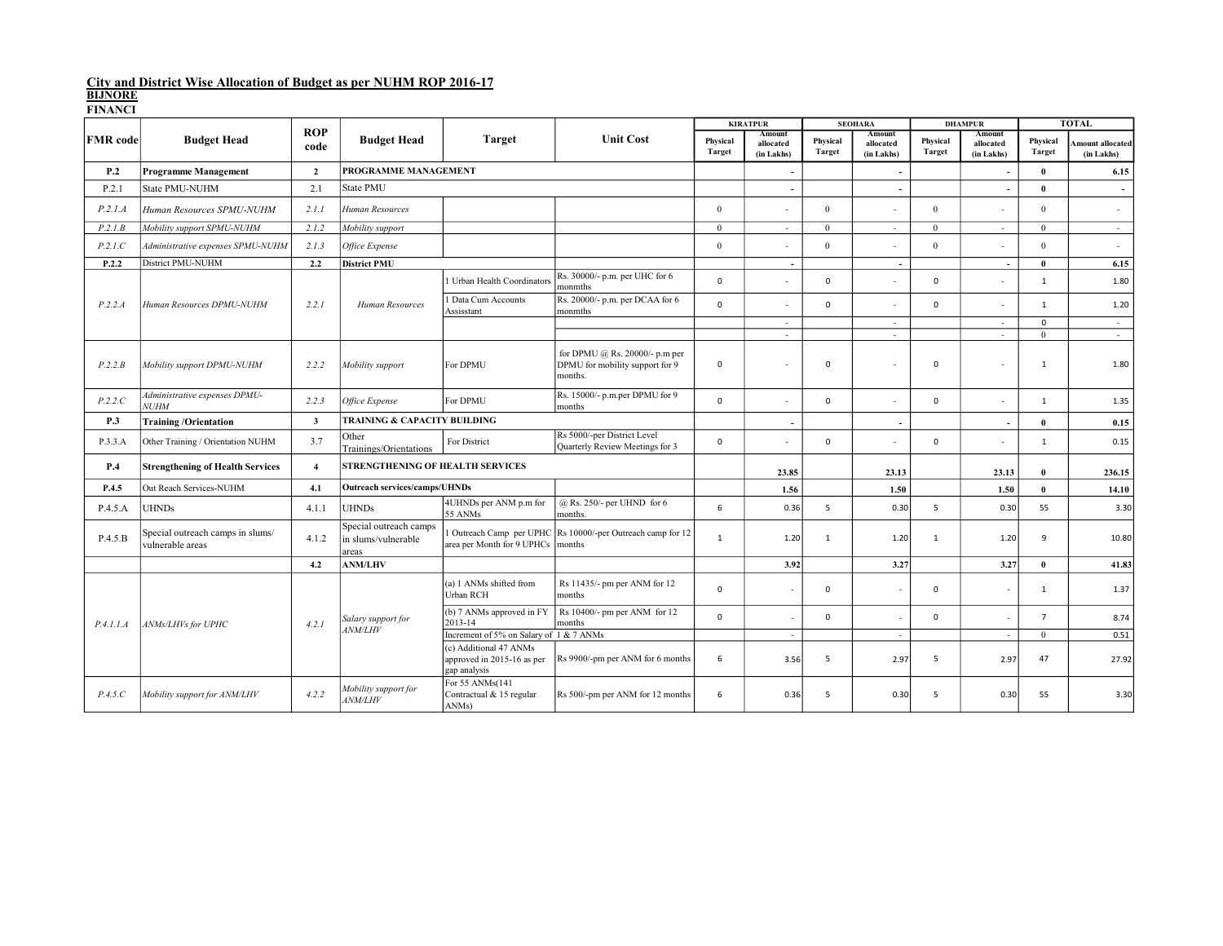|                 |                                                      |                         |                                                        |                                                                      |                                                                              |                    | <b>KIRATPUR</b>                   |                           | <b>SEOHARA</b>                    | <b>DHAMPUR</b>            |                                   |                           | <b>TOTAL</b>                  |
|-----------------|------------------------------------------------------|-------------------------|--------------------------------------------------------|----------------------------------------------------------------------|------------------------------------------------------------------------------|--------------------|-----------------------------------|---------------------------|-----------------------------------|---------------------------|-----------------------------------|---------------------------|-------------------------------|
| <b>FMR</b> code | <b>Budget Head</b>                                   | <b>ROP</b><br>code      | <b>Budget Head</b>                                     | <b>Target</b>                                                        | <b>Unit Cost</b>                                                             | Physical<br>Target | Amount<br>allocated<br>(in Lakhs) | Physical<br><b>Target</b> | Amount<br>allocated<br>(in Lakhs) | Physical<br><b>Target</b> | Amount<br>allocated<br>(in Lakhs) | Physical<br><b>Target</b> | mount allocated<br>(in Lakhs) |
| P.2             | <b>Programme Management</b>                          | $\overline{2}$          | PROGRAMME MANAGEMENT                                   |                                                                      |                                                                              |                    | $\overline{\phantom{a}}$          |                           | $\overline{\phantom{a}}$          |                           | $\overline{\phantom{a}}$          | $\mathbf{0}$              | 6.15                          |
| P.2.1           | State PMU-NUHM                                       | 2.1                     | <b>State PMU</b>                                       |                                                                      |                                                                              |                    | $\sim$                            |                           | $\overline{a}$                    |                           | $\overline{\phantom{a}}$          | $\mathbf{0}$              | $\overline{\phantom{a}}$      |
| P.2.1.A         | Human Resources SPMU-NUHM                            | 2.1.1                   | Human Resources                                        |                                                                      |                                                                              | $\mathbf{0}$       |                                   | $\overline{0}$            |                                   | $\mathbf{0}$              |                                   | $\overline{0}$            | $\sim$                        |
| P.2.1B          | Mobility support SPMU-NUHM                           | 2.1.2                   | Mobility support                                       |                                                                      |                                                                              | $\theta$           | $\sim$                            | $\theta$                  | $\overline{\phantom{a}}$          | $\Omega$                  | $\overline{\phantom{a}}$          | $\Omega$                  | $\sim$                        |
| P.2.1.C         | Administrative expenses SPMU-NUHM                    | 2.1.3                   | Office Expense                                         |                                                                      |                                                                              | $\theta$           |                                   | $\theta$                  | $\overline{\phantom{a}}$          | $\theta$                  |                                   | $\theta$                  | $\sim$                        |
| P.2.2           | District PMU-NUHM                                    | 2.2                     | <b>District PMU</b>                                    |                                                                      |                                                                              |                    | $\sim$                            |                           | $\sim$                            |                           | $\overline{\phantom{a}}$          | $\mathbf{0}$              | 6.15                          |
|                 |                                                      |                         |                                                        | Urban Health Coordinators                                            | Rs. 30000/- p.m. per UHC for 6<br>monmths                                    | $\Omega$           |                                   | $\Omega$                  |                                   | $\mathbf 0$               |                                   | $\mathbf{1}$              | 1.80                          |
| P.2.2.A         | Human Resources DPMU-NUHM                            | 2.2.1                   | Human Resources                                        | Data Cum Accounts<br>Assisstant                                      | Rs. 20000/- p.m. per DCAA for 6<br>monmths                                   | $\mathbf 0$        |                                   | $\mathbf 0$               |                                   | $\mathbf 0$               |                                   | $\mathbf{1}$              | 1.20                          |
|                 |                                                      |                         |                                                        |                                                                      |                                                                              |                    | $\sim$                            |                           | ×                                 |                           | ÷                                 | $\mathbf 0$               | $\sim$                        |
|                 |                                                      |                         |                                                        |                                                                      |                                                                              |                    | $\sim$                            |                           | ÷.                                |                           | $\sim$                            | $\overline{0}$            | $\sim$                        |
| P.2.2.B         | Mobility support DPMU-NUHM                           | 2.2.2                   | Mobility support                                       | For DPMU                                                             | for DPMU @ Rs. 20000/- p.m per<br>DPMU for mobility support for 9<br>months. | $\mathbf 0$        |                                   | $\mathbf 0$               |                                   | $\mathbf 0$               |                                   | $\mathbf{1}$              | 1.80                          |
| P.2.2.C         | Administrative expenses DPMU-<br><b>NUHM</b>         | 2.2.3                   | Office Expense                                         | For DPMU                                                             | Rs. 15000/- p.m.per DPMU for 9<br>months                                     | $\mathbf 0$        |                                   | $\mathbf 0$               |                                   | $\mathbf 0$               | ٠                                 | $\mathbf{1}$              | 1.35                          |
| P.3             | <b>Training/Orientation</b>                          | $\overline{\mathbf{3}}$ | TRAINING & CAPACITY BUILDING                           |                                                                      |                                                                              |                    | $\overline{a}$                    |                           | $\overline{a}$                    |                           | $\overline{\phantom{a}}$          | $\mathbf{0}$              | 0.15                          |
| P.3.3.A         | Other Training / Orientation NUHM                    | 3.7                     | Other<br>Trainings/Orientations                        | For District                                                         | Rs 5000/-per District Level<br>Quarterly Review Meetings for 3               | $\mathbf 0$        |                                   | $\mathbf 0$               |                                   | $\mathsf 0$               |                                   | $\mathbf{1}$              | 0.15                          |
| P.4             | <b>Strengthening of Health Services</b>              | $\overline{4}$          | STRENGTHENING OF HEALTH SERVICES                       |                                                                      |                                                                              |                    | 23.85                             |                           | 23.13                             |                           | 23.13                             | $\mathbf{0}$              | 236.15                        |
| P.4.5           | Out Reach Services-NUHM                              | 4.1                     | <b>Outreach services/camps/UHNDs</b>                   |                                                                      |                                                                              |                    | 1.56                              |                           | 1.50                              |                           | 1.50                              | $\bf{0}$                  | 14.10                         |
| P.4.5.A         | <b>UHNDs</b>                                         | 4.1.1                   | <b>UHNDs</b>                                           | 4UHNDs per ANM p.m for<br>55 ANMs                                    | $(a)$ Rs. 250/- per UHND for 6<br>months.                                    | 6                  | 0.36                              | 5                         | 0.30                              | 5                         | 0.30                              | 55                        | 3.30                          |
| P.4.5.B         | Special outreach camps in slums/<br>vulnerable areas | 4.1.2                   | Special outreach camps<br>in slums/vulnerable<br>areas | area per Month for 9 UPHCs months                                    | Outreach Camp per UPHC Rs 10000/-per Outreach camp for 12                    | $\mathbf{1}$       | 1.20                              | $\mathbf{1}$              | 1.20                              | $\mathbf{1}$              | 1.20                              | 9                         | 10.80                         |
|                 |                                                      | 4.2                     | <b>ANM/LHV</b>                                         |                                                                      |                                                                              |                    | 3.92                              |                           | 3.27                              |                           | 3.27                              | $\bf{0}$                  | 41.83                         |
|                 |                                                      |                         |                                                        | (a) 1 ANMs shifted from<br>Urban RCH                                 | Rs 11435/- pm per ANM for 12<br>months                                       | $\mathbf 0$        |                                   | $\mathbf 0$               |                                   | $\mathbf 0$               | $\overline{\phantom{a}}$          | $\mathbf{1}$              | 1.37                          |
| P.4.1.1.A       | ANMs/LHVs for UPHC                                   | 4.2.1                   | Salary support for                                     | (b) 7 ANMs approved in FY<br>2013-14                                 | Rs 10400/- pm per ANM for 12<br>months                                       | $\mathbf 0$        | $\sim$                            | $\mathbf 0$               | $\overline{\phantom{a}}$          | $\mathbf 0$               | $\overline{\phantom{a}}$          | $\overline{7}$            | 8.74                          |
|                 |                                                      |                         | <b>ANM/LHV</b>                                         | Increment of 5% on Salary of 1 & 7 ANMs                              |                                                                              |                    | $\sim$                            |                           | ×.                                |                           | $\overline{\phantom{a}}$          | $\overline{0}$            | 0.51                          |
|                 |                                                      |                         |                                                        | (c) Additional 47 ANMs<br>approved in 2015-16 as per<br>gap analysis | Rs 9900/-pm per ANM for 6 months                                             | 6                  | 3.56                              | 5                         | 2.97                              | 5                         | 2.97                              | 47                        | 27.92                         |
| P.4.5.C         | Mobility support for ANM/LHV                         | 4.2.2                   | Mobility support for<br><b>ANM/LHV</b>                 | For 55 ANMs(141<br>Contractual & 15 regular<br>ANMs)                 | Rs 500/-pm per ANM for 12 months                                             | 6                  | 0.36                              | 5                         | 0.30                              | 5                         | 0.30                              | 55                        | 3.30                          |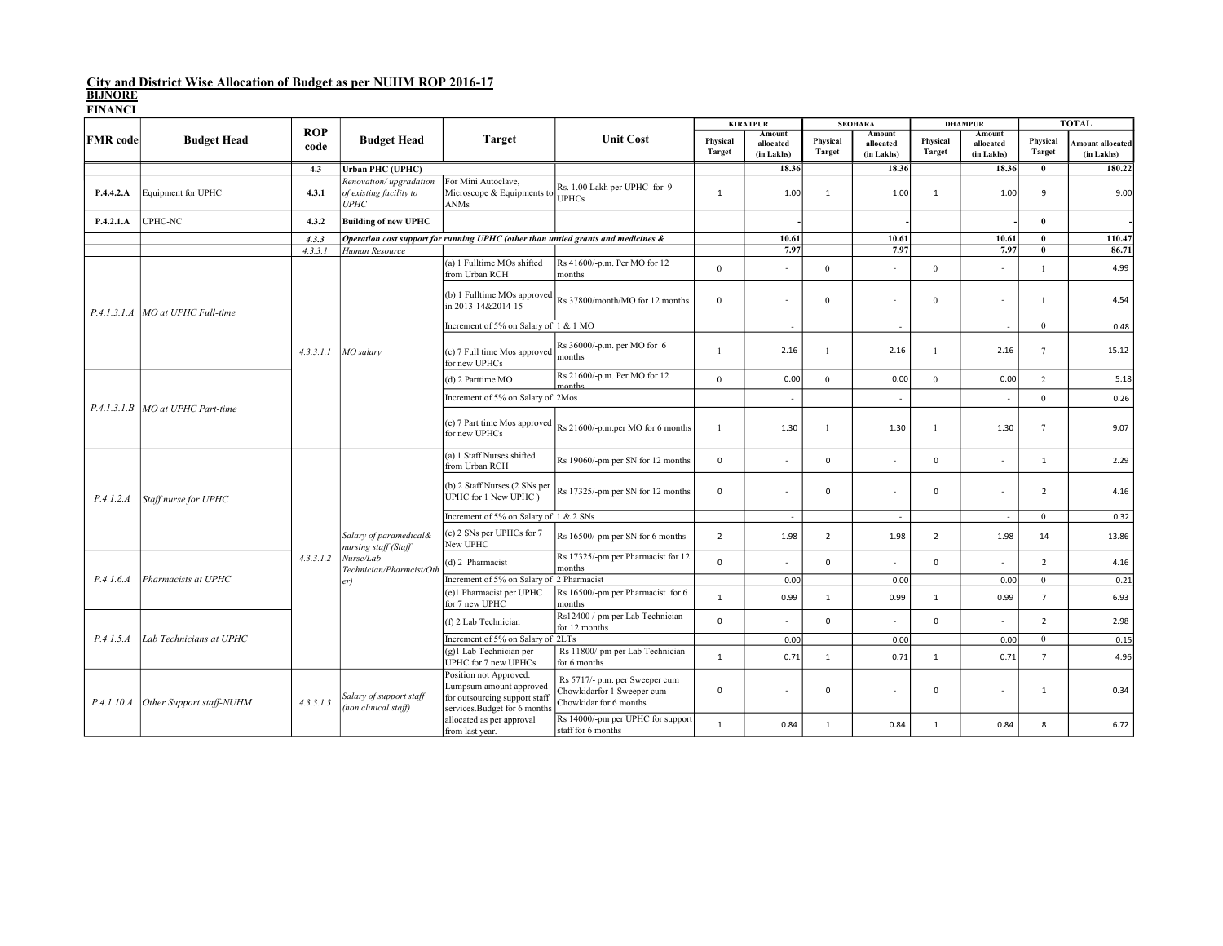|                 |                                     |                    | <b>Budget Head</b>                                                      |                                                                                                                    |                                                                                        |                           | <b>KIRATPUR</b>                   | <b>SEOHARA</b>            |                                   | <b>DHAMPUR</b>            |                                   |                           | <b>TOTAL</b>                  |
|-----------------|-------------------------------------|--------------------|-------------------------------------------------------------------------|--------------------------------------------------------------------------------------------------------------------|----------------------------------------------------------------------------------------|---------------------------|-----------------------------------|---------------------------|-----------------------------------|---------------------------|-----------------------------------|---------------------------|-------------------------------|
| <b>FMR</b> code | <b>Budget Head</b>                  | <b>ROP</b><br>code |                                                                         | <b>Target</b>                                                                                                      | <b>Unit Cost</b>                                                                       | Physical<br><b>Target</b> | Amount<br>allocated<br>(in Lakhs) | Physical<br><b>Target</b> | Amount<br>allocated<br>(in Lakhs) | Physical<br><b>Target</b> | Amount<br>allocated<br>(in Lakhs) | Physical<br><b>Target</b> | mount allocated<br>(in Lakhs) |
|                 |                                     | 4.3                | <b>Urban PHC (UPHC)</b>                                                 |                                                                                                                    |                                                                                        |                           | 18.36                             |                           | 18.36                             |                           | 18.36                             | $\bf{0}$                  | 180.22                        |
| P.4.4.2.A       | Equipment for UPHC                  | 4.3.1              | Renovation/upgradation<br>of existing facility to<br><i><b>UPHC</b></i> | For Mini Autoclave,<br>Microscope & Equipments to<br>ANMs                                                          | Rs. 1.00 Lakh per UPHC for 9<br><b>UPHCs</b>                                           | $\mathbf{1}$              | 1.00                              | $\mathbf{1}$              | 1.00                              | $\mathbf{1}$              | 1.00                              | 9                         | 9.00                          |
| P.4.2.1.A       | UPHC-NC                             | 4.3.2              | <b>Building of new UPHC</b>                                             |                                                                                                                    |                                                                                        |                           |                                   |                           |                                   |                           |                                   | $\bf{0}$                  |                               |
|                 |                                     | 4.3.3              |                                                                         | Operation cost support for running UPHC (other than untied grants and medicines &                                  |                                                                                        |                           | 10.61                             |                           | 10.61                             |                           | 10.61                             | $\bf{0}$                  | 110.47                        |
|                 |                                     | 4.3.3.1            | Human Resource                                                          |                                                                                                                    |                                                                                        |                           | 7.97                              |                           | 7.97                              |                           | 7.97                              | $\bf{0}$                  | 86.71                         |
|                 |                                     |                    |                                                                         | (a) 1 Fulltime MOs shifted<br>from Urban RCH                                                                       | Rs 41600/-p.m. Per MO for 12<br>months                                                 | $\mathbf{0}$              | ٠                                 | $\mathbf{0}$              |                                   | $\overline{0}$            |                                   | $\mathbf{1}$              | 4.99                          |
|                 | P.4.1.3.1.A   MO at UPHC Full-time  |                    | MO salary                                                               | in 2013-14&2014-15                                                                                                 | (b) 1 Fulltime MOs approved $R_s$ 37800/month/MO for 12 months                         | $\mathbf{0}$              |                                   | $\theta$                  |                                   | $\Omega$                  | ä,                                |                           | 4.54                          |
|                 |                                     |                    |                                                                         | Increment of 5% on Salary of 1 & 1 MO                                                                              |                                                                                        |                           | $\sim$                            |                           | ×                                 |                           | $\sim$                            | $\mathbf{0}$              | 0.48                          |
|                 |                                     | 4.3.3.1.1          |                                                                         | (c) 7 Full time Mos approved<br>for new UPHCs                                                                      | Rs 36000/-p.m. per MO for 6<br>months                                                  |                           | 2.16                              |                           | 2.16                              |                           | 2.16                              | $7\phantom{.0}$           | 15.12                         |
|                 | P.4.1.3.1.B   MO at UPHC Part-time  |                    |                                                                         | (d) 2 Parttime MO                                                                                                  | Rs 21600/-p.m. Per MO for 12                                                           | $\mathbf{0}$              | 0.00                              | $\overline{0}$            | 0.00                              | $\overline{0}$            | 0.00                              | $\overline{2}$            | 5.18                          |
|                 |                                     |                    |                                                                         | Increment of 5% on Salary of 2Mos                                                                                  |                                                                                        |                           | $\overline{\phantom{a}}$          |                           |                                   |                           |                                   | $\mathbf{0}$              | 0.26                          |
|                 |                                     |                    |                                                                         | (e) 7 Part time Mos approved<br>for new UPHCs                                                                      | Rs 21600/-p.m.per MO for 6 months                                                      | $\overline{1}$            | 1.30                              |                           | 1.30                              | $\overline{1}$            | 1.30                              | $7\phantom{.0}$           | 9.07                          |
|                 | Staff nurse for UPHC                |                    | Salary of paramedical&<br>nursing staff (Staff                          | (a) 1 Staff Nurses shifted<br>from Urban RCH                                                                       | Rs 19060/-pm per SN for 12 months                                                      | $\mathsf 0$               | à.                                | $\mathbf 0$               | $\overline{\phantom{a}}$          | $\mathbf 0$               | ä,                                | $\mathbf{1}$              | 2.29                          |
| P.4.1.2.A       |                                     |                    |                                                                         | (b) 2 Staff Nurses (2 SNs per<br>UPHC for 1 New UPHC)                                                              | Rs 17325/-pm per SN for 12 months                                                      | $\mathbf 0$               | ä,                                | $\mathbf 0$               |                                   | $\mathbf 0$               |                                   | $\overline{2}$            | 4.16                          |
|                 |                                     |                    |                                                                         | Increment of 5% on Salary of 1 & 2 SNs                                                                             |                                                                                        |                           | $\sim$                            |                           | ×                                 |                           | $\sim$                            | $\mathbf{0}$              | 0.32                          |
|                 |                                     |                    |                                                                         | (c) 2 SNs per UPHCs for 7<br>New UPHC                                                                              | Rs 16500/-pm per SN for 6 months                                                       | $\overline{2}$            | 1.98                              | $\overline{2}$            | 1.98                              | $\overline{2}$            | 1.98                              | 14                        | 13.86                         |
|                 |                                     | 4, 3, 3, 1, 2      | Nurse/Lab<br>Technician/Pharmcist/Oth                                   | (d) 2 Pharmacist                                                                                                   | Rs 17325/-pm per Pharmacist for 12<br>months                                           | $\mathbf 0$               | ٠                                 | $\Omega$                  |                                   | $\mathsf 0$               | ٠                                 | $\overline{2}$            | 4.16                          |
| P.4.1.6.4       | Pharmacists at UPHC                 |                    | er)                                                                     | Increment of 5% on Salary of 2 Pharmacist                                                                          |                                                                                        |                           | 0.00                              |                           | 0.00                              |                           | 0.00                              | $\mathbf{0}$              | 0.21                          |
|                 |                                     |                    |                                                                         | (e)1 Pharmacist per UPHC<br>for 7 new UPHC                                                                         | Rs 16500/-pm per Pharmacist for 6<br>months                                            | $\mathbf{1}$              | 0.99                              | $\mathbf{1}$              | 0.99                              | 1                         | 0.99                              | $\overline{7}$            | 6.93                          |
|                 |                                     |                    |                                                                         | (f) 2 Lab Technician                                                                                               | Rs12400 /-pm per Lab Technician<br>for 12 months                                       | $\mathbf 0$               | ٠                                 | $\Omega$                  |                                   | $\Omega$                  |                                   | $\overline{2}$            | 2.98                          |
| P.4.1.5.A       | Lab Technicians at UPHC             |                    |                                                                         | Increment of 5% on Salary of 2LTs                                                                                  |                                                                                        |                           | 0.00                              |                           | 0.00                              |                           | 0.00                              | $\mathbf{0}$              | 0.15                          |
|                 |                                     |                    |                                                                         | (g)1 Lab Technician per<br><b>UPHC</b> for 7 new UPHCs                                                             | Rs 11800/-pm per Lab Technician<br>for 6 months                                        | $\mathbf{1}$              | 0.71                              | $\mathbf{1}$              | 0.71                              | $\mathbf{1}$              | 0.71                              | $\overline{7}$            | 4.96                          |
|                 | P.4.1.10.A Other Support staff-NUHM | 4.3.3.1.3          | Salary of support staff<br>(non clinical staff)                         | Position not Approved.<br>Lumpsum amount approved<br>for outsourcing support staff<br>services.Budget for 6 months | Rs 5717/- p.m. per Sweeper cum<br>Chowkidarfor 1 Sweeper cum<br>Chowkidar for 6 months | $\mathsf 0$               |                                   | $\mathsf 0$               |                                   | 0                         | ٠                                 | $\mathbf{1}$              | 0.34                          |
|                 |                                     |                    |                                                                         | allocated as per approval<br>from last year.                                                                       | Rs 14000/-pm per UPHC for support<br>staff for 6 months                                | 1                         | 0.84                              | $\mathbf{1}$              | 0.84                              | $\mathbf{1}$              | 0.84                              | 8                         | 6.72                          |